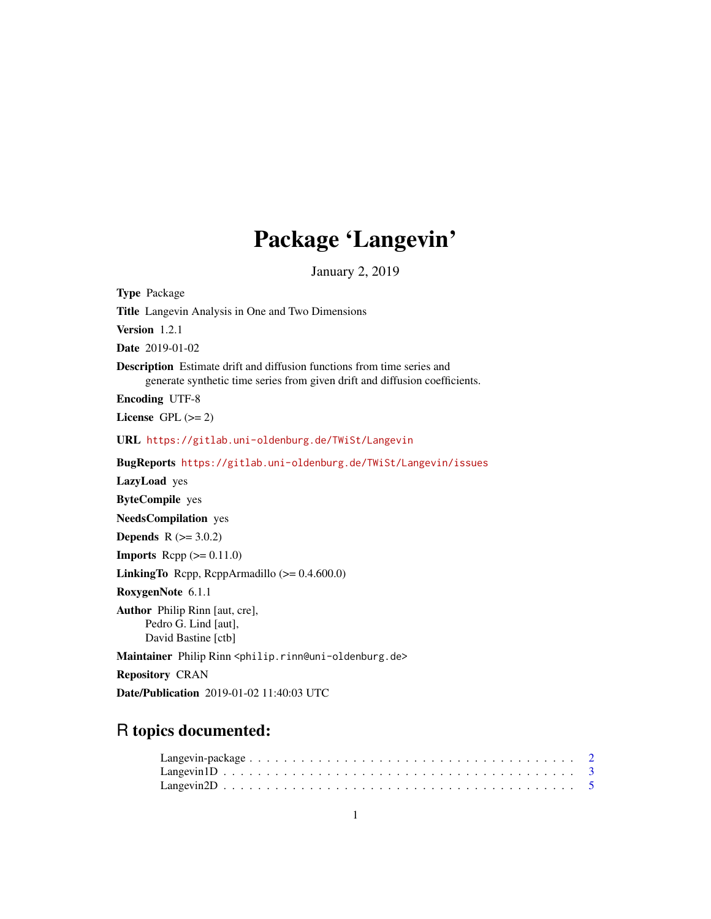## Package 'Langevin'

January 2, 2019

<span id="page-0-0"></span>Type Package Title Langevin Analysis in One and Two Dimensions Version 1.2.1 Date 2019-01-02 Description Estimate drift and diffusion functions from time series and generate synthetic time series from given drift and diffusion coefficients. Encoding UTF-8 License GPL  $(>= 2)$ URL <https://gitlab.uni-oldenburg.de/TWiSt/Langevin> BugReports <https://gitlab.uni-oldenburg.de/TWiSt/Langevin/issues> LazyLoad yes ByteCompile yes NeedsCompilation yes **Depends**  $R$  ( $>= 3.0.2$ ) **Imports** Rcpp  $(>= 0.11.0)$ LinkingTo Rcpp, RcppArmadillo (>= 0.4.600.0) RoxygenNote 6.1.1 Author Philip Rinn [aut, cre], Pedro G. Lind [aut], David Bastine [ctb] Maintainer Philip Rinn <philip.rinn@uni-oldenburg.de> Repository CRAN Date/Publication 2019-01-02 11:40:03 UTC

### R topics documented: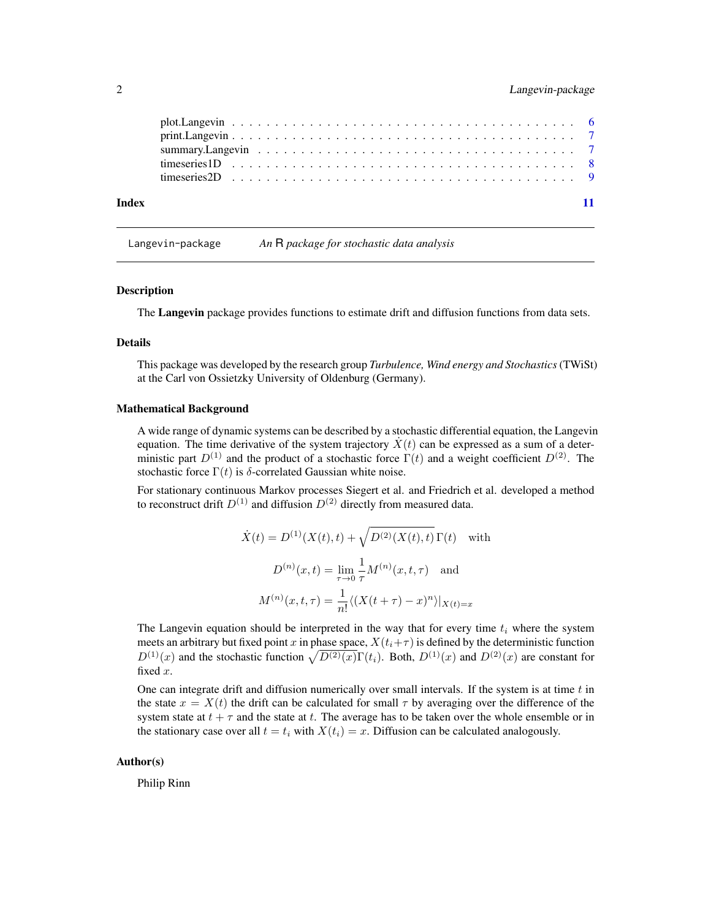<span id="page-1-0"></span>

| Index |  |  |  |  |  |  |  |  |  |  |  |  |  |  |  |  |
|-------|--|--|--|--|--|--|--|--|--|--|--|--|--|--|--|--|

Langevin-package *An* R *package for stochastic data analysis*

#### **Description**

The Langevin package provides functions to estimate drift and diffusion functions from data sets.

#### Details

This package was developed by the research group *Turbulence, Wind energy and Stochastics*(TWiSt) at the Carl von Ossietzky University of Oldenburg (Germany).

#### Mathematical Background

A wide range of dynamic systems can be described by a stochastic differential equation, the Langevin equation. The time derivative of the system trajectory  $\dot{X}(t)$  can be expressed as a sum of a deterministic part  $D^{(1)}$  and the product of a stochastic force  $\Gamma(t)$  and a weight coefficient  $D^{(2)}$ . The stochastic force  $\Gamma(t)$  is  $\delta$ -correlated Gaussian white noise.

For stationary continuous Markov processes Siegert et al. and Friedrich et al. developed a method to reconstruct drift  $D^{(1)}$  and diffusion  $D^{(2)}$  directly from measured data.

$$
\dot{X}(t) = D^{(1)}(X(t), t) + \sqrt{D^{(2)}(X(t), t)} \Gamma(t) \text{ with}
$$
\n
$$
D^{(n)}(x, t) = \lim_{\tau \to 0} \frac{1}{\tau} M^{(n)}(x, t, \tau) \text{ and}
$$
\n
$$
M^{(n)}(x, t, \tau) = \frac{1}{n!} \langle (X(t + \tau) - x)^n \rangle |_{X(t) = x}
$$

The Langevin equation should be interpreted in the way that for every time  $t_i$  where the system meets an arbitrary but fixed point x in phase space,  $X(t_i+\tau)$  is defined by the deterministic function  $D^{(1)}(x)$  and the stochastic function  $\sqrt{D^{(2)}(x)}\Gamma(t_i)$ . Both,  $D^{(1)}(x)$  and  $D^{(2)}(x)$  are constant for fixed x.

One can integrate drift and diffusion numerically over small intervals. If the system is at time  $t$  in the state  $x = X(t)$  the drift can be calculated for small  $\tau$  by averaging over the difference of the system state at  $t + \tau$  and the state at t. The average has to be taken over the whole ensemble or in the stationary case over all  $t = t_i$  with  $X(t_i) = x$ . Diffusion can be calculated analogously.

#### Author(s)

Philip Rinn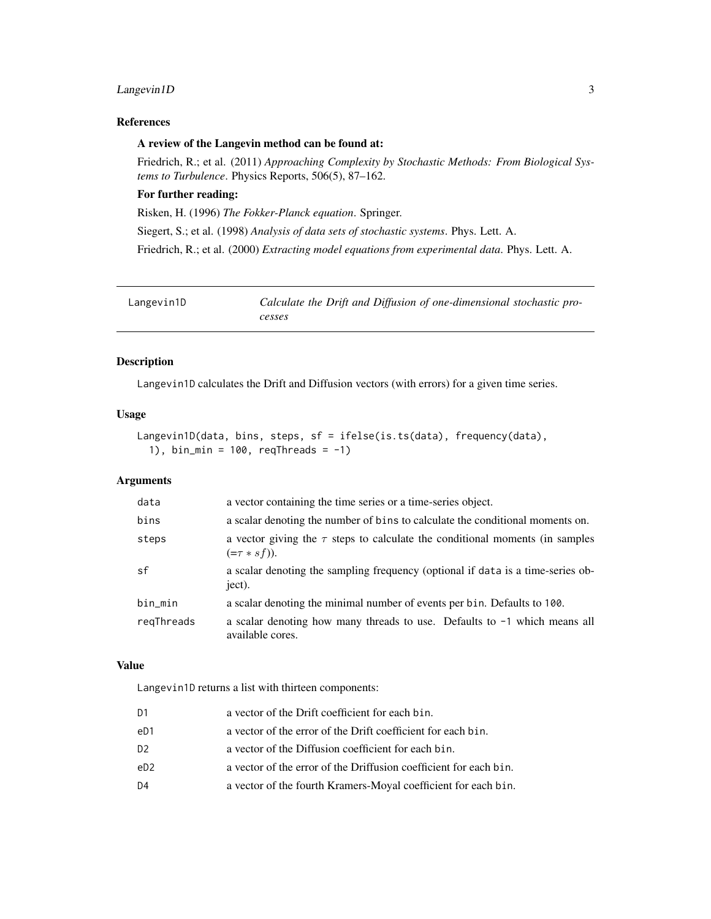#### <span id="page-2-0"></span>Langevin1D 3

#### References

#### A review of the Langevin method can be found at:

Friedrich, R.; et al. (2011) *Approaching Complexity by Stochastic Methods: From Biological Systems to Turbulence*. Physics Reports, 506(5), 87–162.

#### For further reading:

Risken, H. (1996) *The Fokker-Planck equation*. Springer.

Siegert, S.; et al. (1998) *Analysis of data sets of stochastic systems*. Phys. Lett. A.

Friedrich, R.; et al. (2000) *Extracting model equations from experimental data*. Phys. Lett. A.

<span id="page-2-1"></span>

| Langevin1D | Calculate the Drift and Diffusion of one-dimensional stochastic pro- |
|------------|----------------------------------------------------------------------|
|            | cesses                                                               |

#### Description

Langevin1D calculates the Drift and Diffusion vectors (with errors) for a given time series.

#### Usage

```
Langevin1D(data, bins, steps, sf = ifelse(is.ts(data), frequency(data),
  1), bin_min = 100, reqThreads = -1)
```
#### Arguments

| data       | a vector containing the time series or a time-series object.                                         |
|------------|------------------------------------------------------------------------------------------------------|
| bins       | a scalar denoting the number of bins to calculate the conditional moments on.                        |
| steps      | a vector giving the $\tau$ steps to calculate the conditional moments (in samples<br>$(=\tau * sf).$ |
| sf         | a scalar denoting the sampling frequency (optional if data is a time-series ob-<br>ject).            |
| bin_min    | a scalar denoting the minimal number of events per bin. Defaults to 100.                             |
| regThreads | a scalar denoting how many threads to use. Defaults to $-1$ which means all<br>available cores.      |

#### Value

Langevin1D returns a list with thirteen components:

| a vector of the error of the Drift coefficient for each bin.<br>eD1<br>D2<br>a vector of the Diffusion coefficient for each bin.<br>eD2<br>D4 | D1 | a vector of the Drift coefficient for each bin.                   |
|-----------------------------------------------------------------------------------------------------------------------------------------------|----|-------------------------------------------------------------------|
|                                                                                                                                               |    |                                                                   |
|                                                                                                                                               |    |                                                                   |
|                                                                                                                                               |    | a vector of the error of the Driffusion coefficient for each bin. |
|                                                                                                                                               |    | a vector of the fourth Kramers-Moyal coefficient for each bin.    |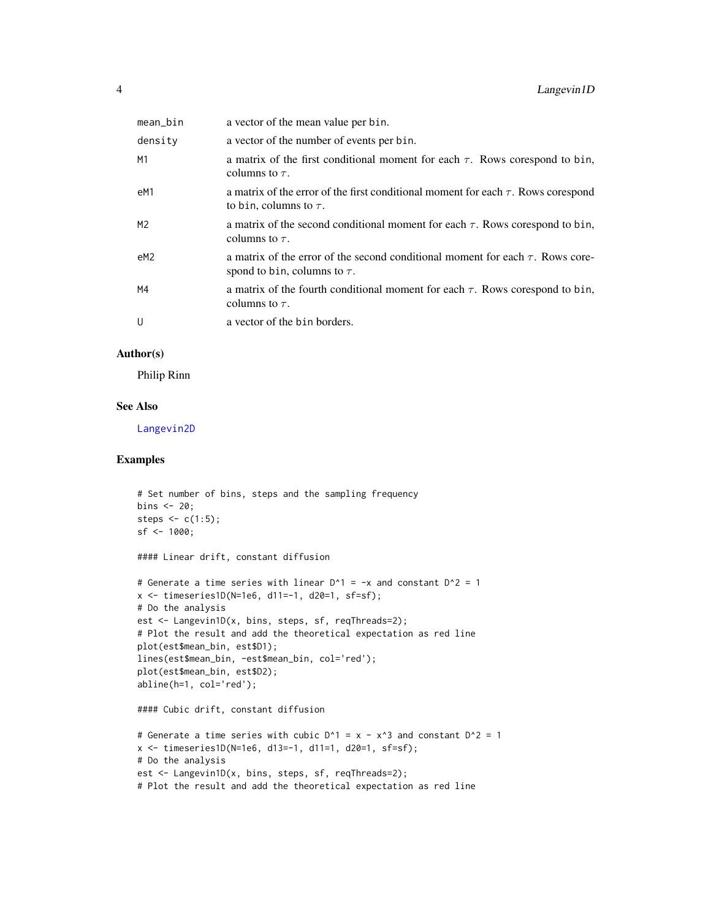<span id="page-3-0"></span>

| mean_bin | a vector of the mean value per bin.                                                                                      |
|----------|--------------------------------------------------------------------------------------------------------------------------|
| density  | a vector of the number of events per bin.                                                                                |
| М1       | a matrix of the first conditional moment for each $\tau$ . Rows corespond to bin,<br>columns to $\tau$ .                 |
| eM1      | a matrix of the error of the first conditional moment for each $\tau$ . Rows corespond<br>to bin, columns to $\tau$ .    |
| M2       | a matrix of the second conditional moment for each $\tau$ . Rows corespond to bin,<br>columns to $\tau$ .                |
| eM2      | a matrix of the error of the second conditional moment for each $\tau$ . Rows core-<br>spond to bin, columns to $\tau$ . |
| M4       | a matrix of the fourth conditional moment for each $\tau$ . Rows corespond to bin,<br>columns to $\tau$ .                |
| U        | a vector of the bin borders.                                                                                             |

#### Author(s)

Philip Rinn

#### See Also

[Langevin2D](#page-4-1)

#### Examples

```
# Set number of bins, steps and the sampling frequency
bins <-20;
steps \leq c(1:5);
sf < -1000;
#### Linear drift, constant diffusion
# Generate a time series with linear D^1 = -x and constant D^2 = 1x \le - timeseries1D(N=1e6, d11=-1, d20=1, sf=sf);
# Do the analysis
est <- Langevin1D(x, bins, steps, sf, reqThreads=2);
# Plot the result and add the theoretical expectation as red line
plot(est$mean_bin, est$D1);
lines(est$mean_bin, -est$mean_bin, col='red');
plot(est$mean_bin, est$D2);
abline(h=1, col='red');
#### Cubic drift, constant diffusion
# Generate a time series with cubic D^1 = x - x^3 and constant D^2 = 1x <- timeseries1D(N=1e6, d13=-1, d11=1, d20=1, sf=sf);
# Do the analysis
est <- Langevin1D(x, bins, steps, sf, reqThreads=2);
# Plot the result and add the theoretical expectation as red line
```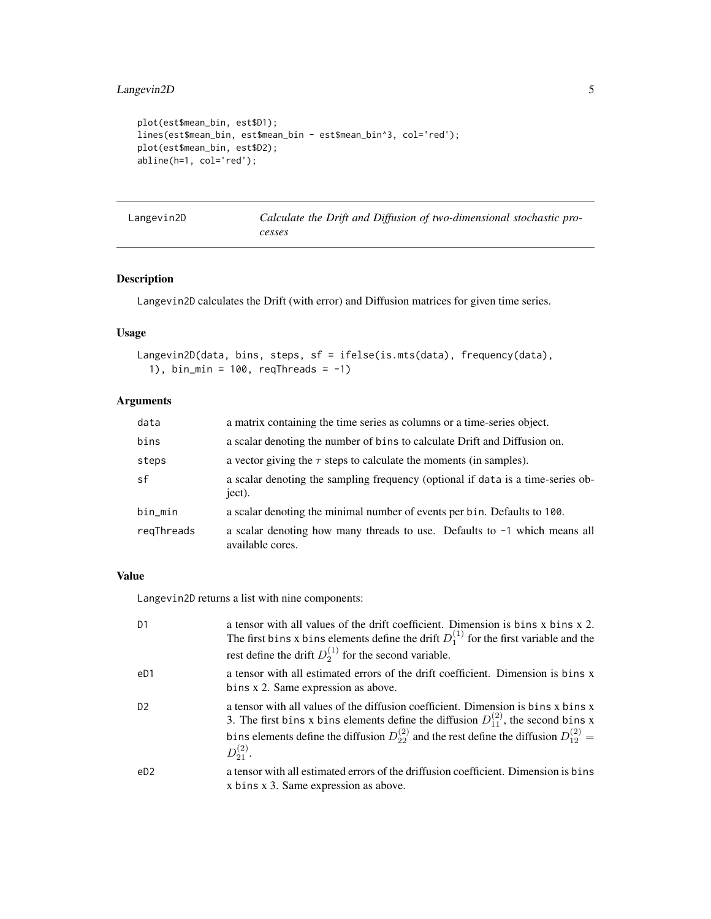```
plot(est$mean_bin, est$D1);
lines(est$mean_bin, est$mean_bin - est$mean_bin^3, col='red');
plot(est$mean_bin, est$D2);
abline(h=1, col='red');
```
<span id="page-4-1"></span>

| Langevin2D | Calculate the Drift and Diffusion of two-dimensional stochastic pro- |
|------------|----------------------------------------------------------------------|
|            | cesses                                                               |

#### Description

Langevin2D calculates the Drift (with error) and Diffusion matrices for given time series.

#### Usage

```
Langevin2D(data, bins, steps, sf = ifelse(is.mts(data), frequency(data),
  1), bin_min = 100, reqThreads = -1)
```
#### Arguments

| data       | a matrix containing the time series as columns or a time-series object.                         |
|------------|-------------------------------------------------------------------------------------------------|
| bins       | a scalar denoting the number of bins to calculate Drift and Diffusion on.                       |
| steps      | a vector giving the $\tau$ steps to calculate the moments (in samples).                         |
| sf         | a scalar denoting the sampling frequency (optional if data is a time-series ob-<br>ject).       |
| bin_min    | a scalar denoting the minimal number of events per bin. Defaults to 100.                        |
| regThreads | a scalar denoting how many threads to use. Defaults to $-1$ which means all<br>available cores. |

#### Value

Langevin2D returns a list with nine components:

| D <sub>1</sub> | a tensor with all values of the drift coefficient. Dimension is bins x bins x 2.<br>The first bins x bins elements define the drift $D_1^{(1)}$ for the first variable and the<br>rest define the drift $D_2^{(1)}$ for the second variable.                                                               |
|----------------|------------------------------------------------------------------------------------------------------------------------------------------------------------------------------------------------------------------------------------------------------------------------------------------------------------|
| eD1            | a tensor with all estimated errors of the drift coefficient. Dimension is bins x<br>bins x 2. Same expression as above.                                                                                                                                                                                    |
| D <sub>2</sub> | a tensor with all values of the diffusion coefficient. Dimension is bins x bins x<br>3. The first bins x bins elements define the diffusion $D_{11}^{(2)}$ , the second bins x<br>bins elements define the diffusion $D_{22}^{(2)}$ and the rest define the diffusion $D_{12}^{(2)} =$<br>$D_{21}^{(2)}$ . |
| eD2            | a tensor with all estimated errors of the driffusion coefficient. Dimension is bins<br>x bins x 3. Same expression as above.                                                                                                                                                                               |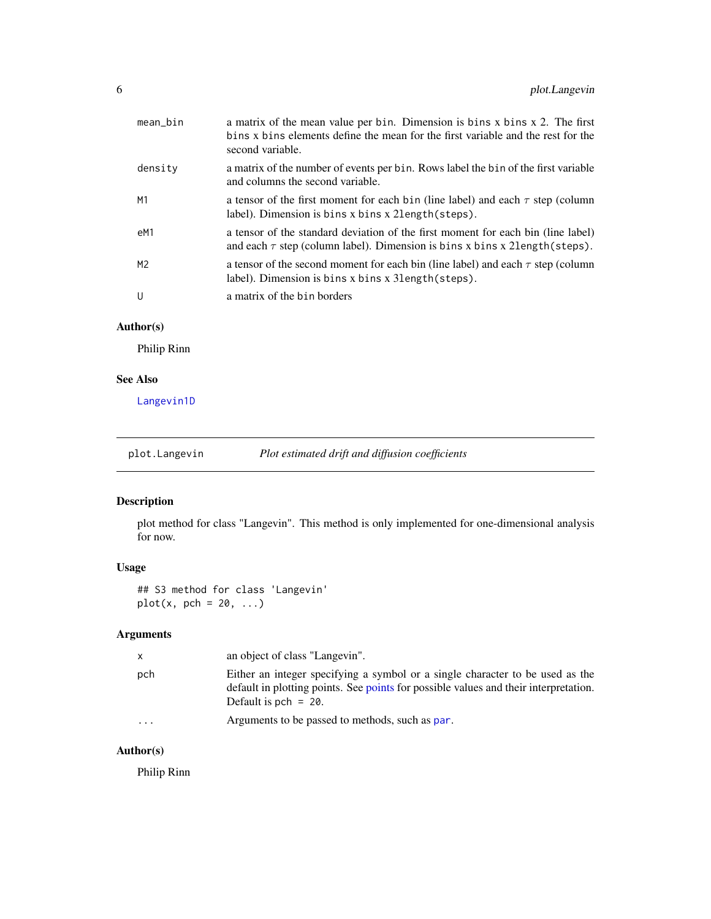<span id="page-5-0"></span>

| $mean_b$ in    | a matrix of the mean value per bin. Dimension is bins x bins x 2. The first<br>bins x bins elements define the mean for the first variable and the rest for the<br>second variable. |
|----------------|-------------------------------------------------------------------------------------------------------------------------------------------------------------------------------------|
| density        | a matrix of the number of events per bin. Rows label the bin of the first variable<br>and columns the second variable.                                                              |
| M1             | a tensor of the first moment for each bin (line label) and each $\tau$ step (column<br>label). Dimension is bins x bins x 21ength (steps).                                          |
| eM1            | a tensor of the standard deviation of the first moment for each bin (line label)<br>and each $\tau$ step (column label). Dimension is bins x bins x 21ength(steps).                 |
| M <sub>2</sub> | a tensor of the second moment for each bin (line label) and each $\tau$ step (column<br>label). Dimension is bins x bins x 31 ength (steps).                                        |
| $\cup$         | a matrix of the bin borders                                                                                                                                                         |
|                |                                                                                                                                                                                     |

#### Author(s)

Philip Rinn

#### See Also

[Langevin1D](#page-2-1)

plot.Langevin *Plot estimated drift and diffusion coefficients*

#### Description

plot method for class "Langevin". This method is only implemented for one-dimensional analysis for now.

#### Usage

## S3 method for class 'Langevin'  $plot(x, pch = 20, ...)$ 

#### Arguments

| $\mathsf{x}$            | an object of class "Langevin".                                                                                                                                                                   |
|-------------------------|--------------------------------------------------------------------------------------------------------------------------------------------------------------------------------------------------|
| pch                     | Either an integer specifying a symbol or a single character to be used as the<br>default in plotting points. See points for possible values and their interpretation.<br>Default is pch $= 20$ . |
| $\cdot$ $\cdot$ $\cdot$ | Arguments to be passed to methods, such as par.                                                                                                                                                  |

#### Author(s)

Philip Rinn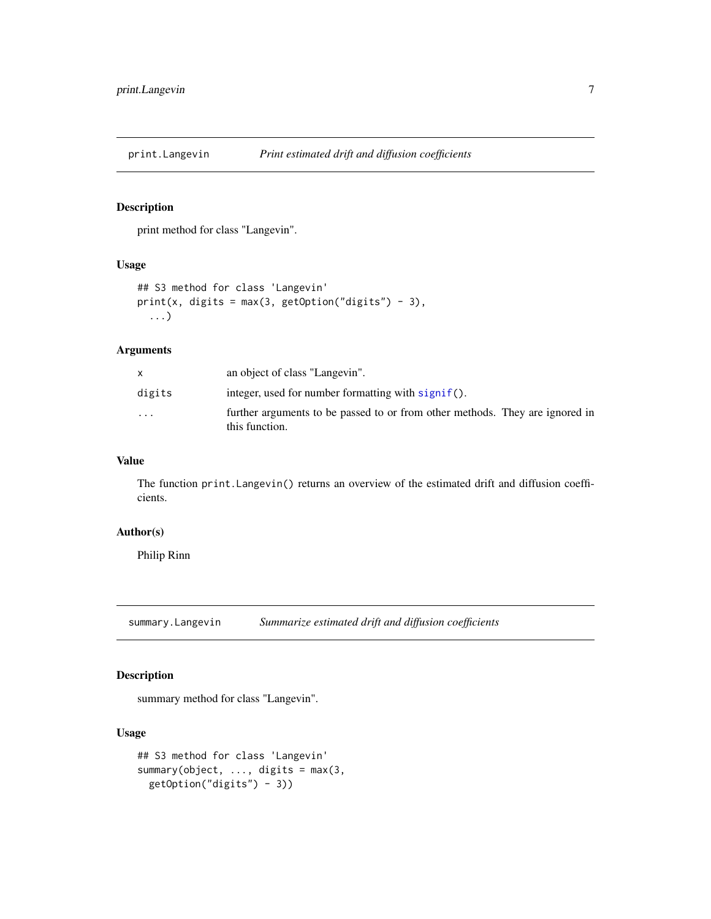<span id="page-6-0"></span>

#### Description

print method for class "Langevin".

#### Usage

```
## S3 method for class 'Langevin'
print(x, \text{ digits} = max(3, \text{ getOption("digits")} - 3),...)
```
#### Arguments

|          | an object of class "Langevin".                                                                 |
|----------|------------------------------------------------------------------------------------------------|
| digits   | integer, used for number formatting with $signif()$ .                                          |
| $\cdots$ | further arguments to be passed to or from other methods. They are ignored in<br>this function. |

#### Value

The function print.Langevin() returns an overview of the estimated drift and diffusion coefficients.

#### Author(s)

Philip Rinn

summary.Langevin *Summarize estimated drift and diffusion coefficients*

#### Description

summary method for class "Langevin".

#### Usage

```
## S3 method for class 'Langevin'
summary(object, ..., digits = max(3,
 getOption("digits") - 3))
```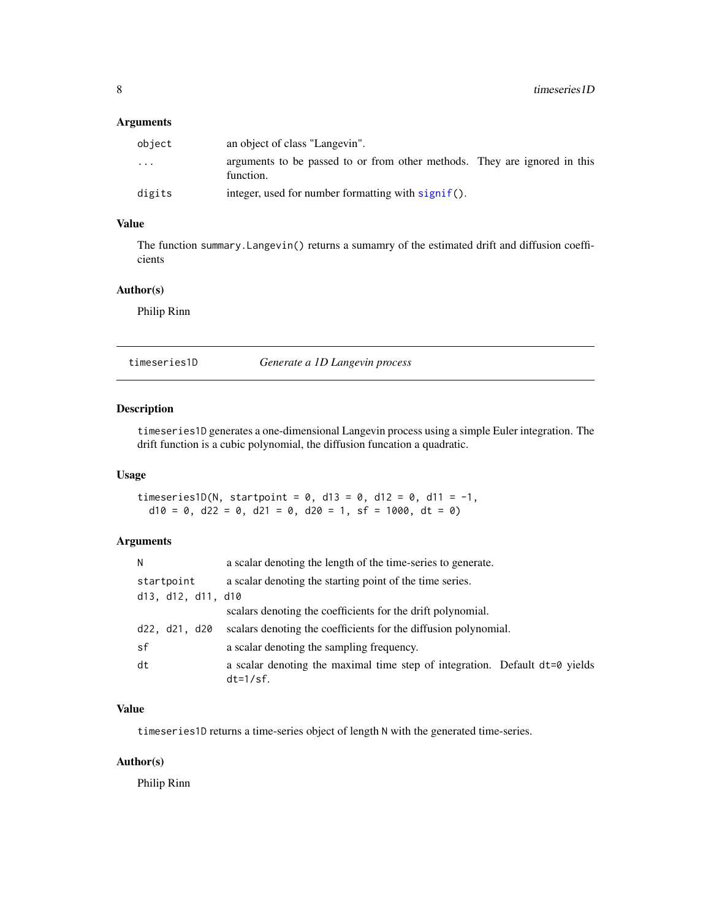#### <span id="page-7-0"></span>Arguments

| object                  | an object of class "Langevin".                                                         |
|-------------------------|----------------------------------------------------------------------------------------|
| $\cdot$ $\cdot$ $\cdot$ | arguments to be passed to or from other methods. They are ignored in this<br>function. |
| digits                  | integer, used for number formatting with signif().                                     |

#### Value

The function summary.Langevin() returns a sumamry of the estimated drift and diffusion coefficients

#### Author(s)

Philip Rinn

<span id="page-7-1"></span>timeseries1D *Generate a 1D Langevin process*

#### Description

timeseries1D generates a one-dimensional Langevin process using a simple Euler integration. The drift function is a cubic polynomial, the diffusion funcation a quadratic.

#### Usage

timeseries1D(N, startpoint =  $0$ , d13 =  $0$ , d12 =  $0$ , d11 = -1,  $d10 = 0$ ,  $d22 = 0$ ,  $d21 = 0$ ,  $d20 = 1$ ,  $sf = 1000$ ,  $dt = 0$ )

#### Arguments

| N                             | a scalar denoting the length of the time-series to generate.                                 |
|-------------------------------|----------------------------------------------------------------------------------------------|
| startpoint                    | a scalar denoting the starting point of the time series.                                     |
| $d13$ , $d12$ , $d11$ , $d10$ |                                                                                              |
|                               | scalars denoting the coefficients for the drift polynomial.                                  |
| d22, d21, d20                 | scalars denoting the coefficients for the diffusion polynomial.                              |
| sf                            | a scalar denoting the sampling frequency.                                                    |
| dt                            | a scalar denoting the maximal time step of integration. Default dt=0 yields<br>$dt = 1/sf$ . |

#### Value

timeseries1D returns a time-series object of length N with the generated time-series.

#### Author(s)

Philip Rinn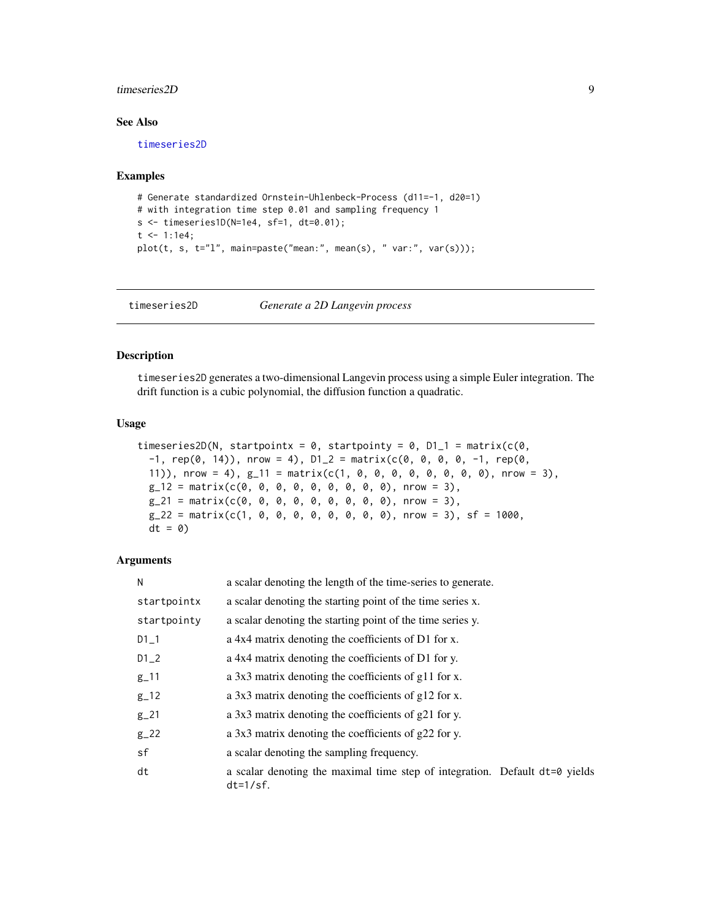#### <span id="page-8-0"></span>timeseries2D 9

#### See Also

[timeseries2D](#page-8-1)

#### Examples

```
# Generate standardized Ornstein-Uhlenbeck-Process (d11=-1, d20=1)
# with integration time step 0.01 and sampling frequency 1
s <- timeseries1D(N=1e4, sf=1, dt=0.01);
t < -1:1e4;plot(t, s, t="l", main=paste("mean:", mean(s), " var:", var(s)));
```
<span id="page-8-1"></span>timeseries2D *Generate a 2D Langevin process*

#### Description

timeseries2D generates a two-dimensional Langevin process using a simple Euler integration. The drift function is a cubic polynomial, the diffusion function a quadratic.

#### Usage

```
timeseries2D(N, startpointx = 0, startpointy = 0, D1_1 = matrix(c(0,
  -1, rep(0, 14)), nrow = 4), D1_2 = matrix(c(0, 0, 0, 0, -1, rep(0,
  11)), nrow = 4), g_11 = \text{matrix}(c(1, 0, 0, 0, 0, 0, 0, 0, 0, 0), nrow = 3),
 g_12 = matrix(c(0, 0, 0, 0, 0, 0, 0, 0, 0, 0, 0)), nrow = 3),
 g_21 = matrix(c(0, 0, 0, 0, 0, 0, 0, 0, 0), nrow = 3),
 g_2^2 = matrix(c(1, 0, 0, 0, 0, 0, 0, 0, 0, 0, 0), nrow = 3), sf = 1000,dt = 0
```
#### Arguments

| N           | a scalar denoting the length of the time-series to generate.                                 |
|-------------|----------------------------------------------------------------------------------------------|
| startpointx | a scalar denoting the starting point of the time series x.                                   |
| startpointy | a scalar denoting the starting point of the time series y.                                   |
| $D1-1$      | a 4x4 matrix denoting the coefficients of D1 for x.                                          |
| $D1_2$      | a 4x4 matrix denoting the coefficients of D1 for y.                                          |
| $g_{-}11$   | a 3x3 matrix denoting the coefficients of g11 for x.                                         |
| $g-12$      | a 3x3 matrix denoting the coefficients of g12 for x.                                         |
| $g_2$ 21    | a 3x3 matrix denoting the coefficients of $g21$ for y.                                       |
| $g_2$ 22    | a 3x3 matrix denoting the coefficients of $g22$ for y.                                       |
| sf          | a scalar denoting the sampling frequency.                                                    |
| dt          | a scalar denoting the maximal time step of integration. Default dt=0 yields<br>$dt = 1/sf$ . |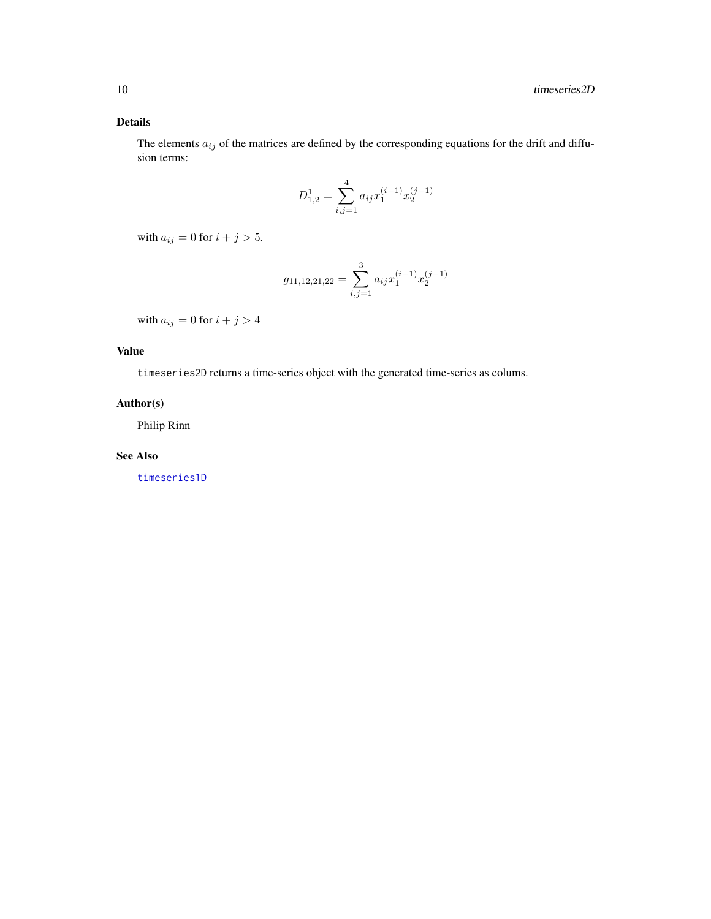#### <span id="page-9-0"></span>Details

The elements  $a_{ij}$  of the matrices are defined by the corresponding equations for the drift and diffusion terms:

$$
D_{1,2}^1 = \sum_{i,j=1}^4 a_{ij} x_1^{(i-1)} x_2^{(j-1)}
$$

with  $a_{ij} = 0$  for  $i + j > 5$ .

$$
g_{11,12,21,22} = \sum_{i,j=1}^{3} a_{ij} x_1^{(i-1)} x_2^{(j-1)}
$$

with  $a_{ij} = 0$  for  $i + j > 4$ 

#### Value

timeseries2D returns a time-series object with the generated time-series as colums.

#### Author(s)

Philip Rinn

#### See Also

[timeseries1D](#page-7-1)